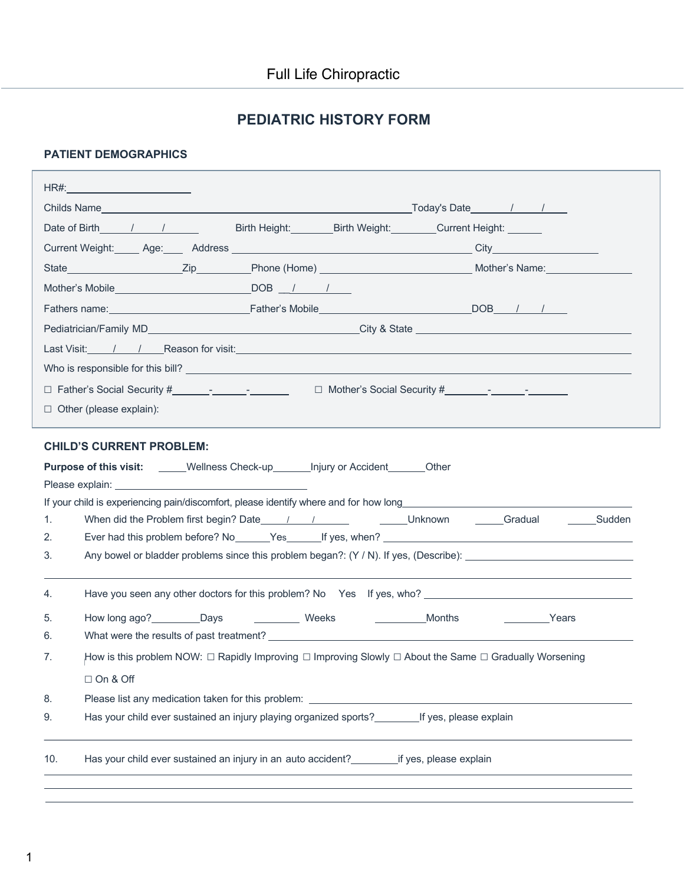## **PEDIATRIC HISTORY FORM**

## **PATIENT DEMOGRAPHICS**

| HR#: __________________________                                                                                                  |                                  |
|----------------------------------------------------------------------------------------------------------------------------------|----------------------------------|
|                                                                                                                                  |                                  |
| Date of Birth 1 1<br>Birth Height: __________ Birth Weight: _________ Current Height: _______                                    |                                  |
|                                                                                                                                  |                                  |
|                                                                                                                                  |                                  |
|                                                                                                                                  |                                  |
|                                                                                                                                  |                                  |
|                                                                                                                                  |                                  |
| Last Visit: / / / Reason for visit: <u>Alexander Control Control Control Control Control Control Control Control</u>             |                                  |
|                                                                                                                                  |                                  |
|                                                                                                                                  |                                  |
| $\Box$ Other (please explain):                                                                                                   |                                  |
| <b>CHILD'S CURRENT PROBLEM:</b><br><b>Purpose of this visit:</b> _____Wellness Check-up_______ Injury or Accident_______Other    |                                  |
| If your child is experiencing pain/discomfort, please identify where and for how long                                            |                                  |
| 1.                                                                                                                               |                                  |
| 2.                                                                                                                               |                                  |
| 3.                                                                                                                               |                                  |
| 4.                                                                                                                               |                                  |
|                                                                                                                                  |                                  |
| How long ago? Days Days Weeks<br>5.                                                                                              | Months<br><b>Example 2</b> Years |
| 6.                                                                                                                               |                                  |
| How is this problem NOW: $\Box$ Rapidly Improving $\Box$ Improving Slowly $\Box$ About the Same $\Box$ Gradually Worsening<br>7. |                                  |
| $\Box$ On & Off                                                                                                                  |                                  |
| 8.                                                                                                                               |                                  |
| Has your child ever sustained an injury playing organized sports? _________ If yes, please explain<br>9.                         |                                  |